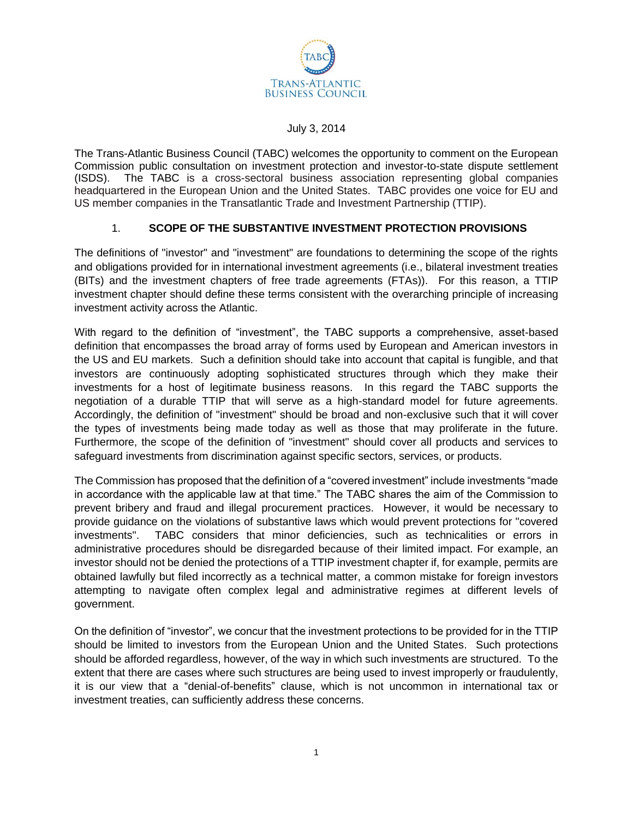

#### July 3, 2014

The Trans-Atlantic Business Council (TABC) welcomes the opportunity to comment on the European Commission public consultation on investment protection and investor-to-state dispute settlement (ISDS). The TABC is a cross-sectoral business association representing global companies headquartered in the European Union and the United States. TABC provides one voice for EU and US member companies in the Transatlantic Trade and Investment Partnership (TTIP).

### 1. **SCOPE OF THE SUBSTANTIVE INVESTMENT PROTECTION PROVISIONS**

The definitions of "investor" and "investment" are foundations to determining the scope of the rights and obligations provided for in international investment agreements (i.e., bilateral investment treaties (BITs) and the investment chapters of free trade agreements (FTAs)). For this reason, a TTIP investment chapter should define these terms consistent with the overarching principle of increasing investment activity across the Atlantic.

With regard to the definition of "investment", the TABC supports a comprehensive, asset-based definition that encompasses the broad array of forms used by European and American investors in the US and EU markets. Such a definition should take into account that capital is fungible, and that investors are continuously adopting sophisticated structures through which they make their investments for a host of legitimate business reasons. In this regard the TABC supports the negotiation of a durable TTIP that will serve as a high-standard model for future agreements. Accordingly, the definition of "investment" should be broad and non-exclusive such that it will cover the types of investments being made today as well as those that may proliferate in the future. Furthermore, the scope of the definition of "investment" should cover all products and services to safeguard investments from discrimination against specific sectors, services, or products.

The Commission has proposed that the definition of a "covered investment" include investments "made in accordance with the applicable law at that time." The TABC shares the aim of the Commission to prevent bribery and fraud and illegal procurement practices. However, it would be necessary to provide guidance on the violations of substantive laws which would prevent protections for "covered investments". TABC considers that minor deficiencies, such as technicalities or errors in administrative procedures should be disregarded because of their limited impact. For example, an investor should not be denied the protections of a TTIP investment chapter if, for example, permits are obtained lawfully but filed incorrectly as a technical matter, a common mistake for foreign investors attempting to navigate often complex legal and administrative regimes at different levels of government.

On the definition of "investor", we concur that the investment protections to be provided for in the TTIP should be limited to investors from the European Union and the United States. Such protections should be afforded regardless, however, of the way in which such investments are structured. To the extent that there are cases where such structures are being used to invest improperly or fraudulently, it is our view that a "denial-of-benefits" clause, which is not uncommon in international tax or investment treaties, can sufficiently address these concerns.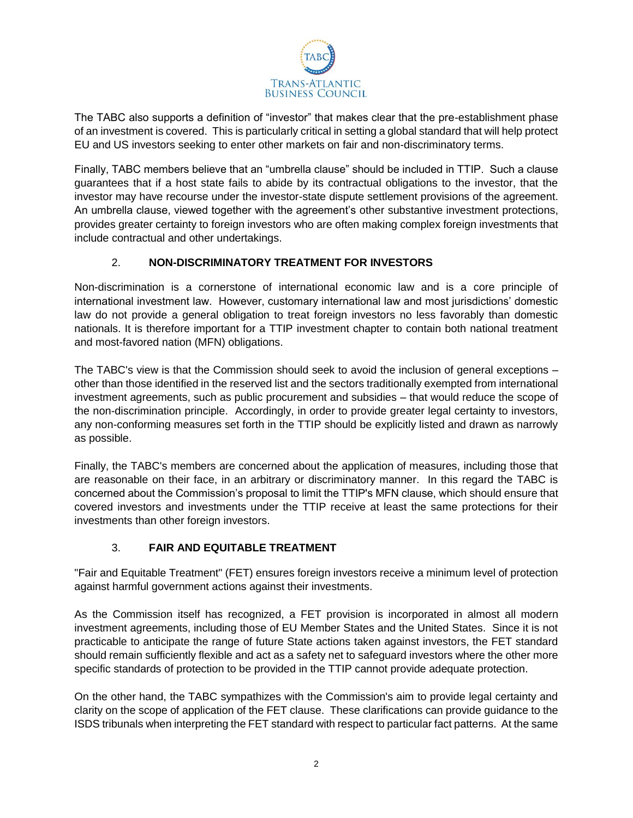

The TABC also supports a definition of "investor" that makes clear that the pre-establishment phase of an investment is covered. This is particularly critical in setting a global standard that will help protect EU and US investors seeking to enter other markets on fair and non-discriminatory terms.

Finally, TABC members believe that an "umbrella clause" should be included in TTIP. Such a clause guarantees that if a host state fails to abide by its contractual obligations to the investor, that the investor may have recourse under the investor-state dispute settlement provisions of the agreement. An umbrella clause, viewed together with the agreement's other substantive investment protections, provides greater certainty to foreign investors who are often making complex foreign investments that include contractual and other undertakings.

### 2. **NON-DISCRIMINATORY TREATMENT FOR INVESTORS**

Non-discrimination is a cornerstone of international economic law and is a core principle of international investment law. However, customary international law and most jurisdictions' domestic law do not provide a general obligation to treat foreign investors no less favorably than domestic nationals. It is therefore important for a TTIP investment chapter to contain both national treatment and most-favored nation (MFN) obligations.

The TABC's view is that the Commission should seek to avoid the inclusion of general exceptions – other than those identified in the reserved list and the sectors traditionally exempted from international investment agreements, such as public procurement and subsidies – that would reduce the scope of the non-discrimination principle. Accordingly, in order to provide greater legal certainty to investors, any non-conforming measures set forth in the TTIP should be explicitly listed and drawn as narrowly as possible.

Finally, the TABC's members are concerned about the application of measures, including those that are reasonable on their face, in an arbitrary or discriminatory manner. In this regard the TABC is concerned about the Commission's proposal to limit the TTIP's MFN clause, which should ensure that covered investors and investments under the TTIP receive at least the same protections for their investments than other foreign investors.

# 3. **FAIR AND EQUITABLE TREATMENT**

"Fair and Equitable Treatment" (FET) ensures foreign investors receive a minimum level of protection against harmful government actions against their investments.

As the Commission itself has recognized, a FET provision is incorporated in almost all modern investment agreements, including those of EU Member States and the United States. Since it is not practicable to anticipate the range of future State actions taken against investors, the FET standard should remain sufficiently flexible and act as a safety net to safeguard investors where the other more specific standards of protection to be provided in the TTIP cannot provide adequate protection.

On the other hand, the TABC sympathizes with the Commission's aim to provide legal certainty and clarity on the scope of application of the FET clause. These clarifications can provide guidance to the ISDS tribunals when interpreting the FET standard with respect to particular fact patterns. At the same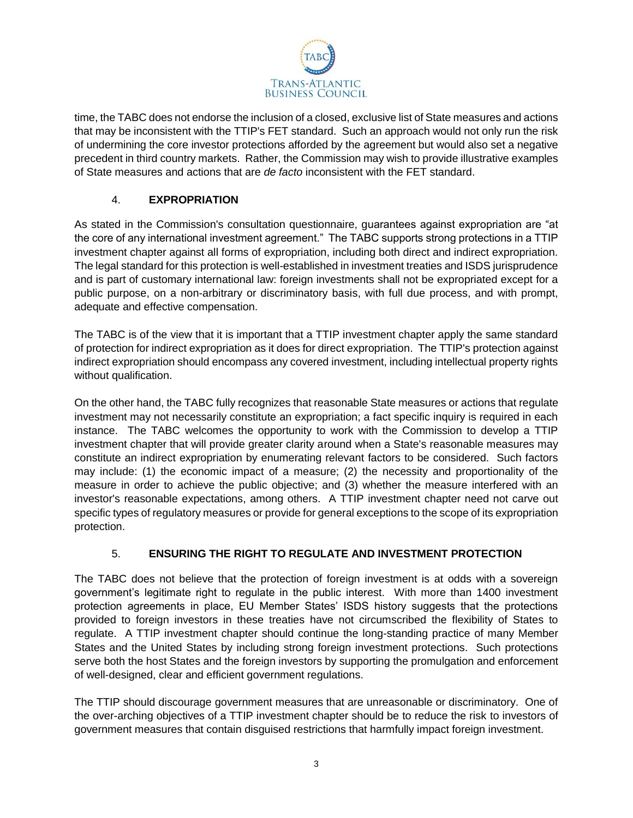

time, the TABC does not endorse the inclusion of a closed, exclusive list of State measures and actions that may be inconsistent with the TTIP's FET standard. Such an approach would not only run the risk of undermining the core investor protections afforded by the agreement but would also set a negative precedent in third country markets. Rather, the Commission may wish to provide illustrative examples of State measures and actions that are *de facto* inconsistent with the FET standard.

# 4. **EXPROPRIATION**

As stated in the Commission's consultation questionnaire, guarantees against expropriation are "at the core of any international investment agreement." The TABC supports strong protections in a TTIP investment chapter against all forms of expropriation, including both direct and indirect expropriation. The legal standard for this protection is well-established in investment treaties and ISDS jurisprudence and is part of customary international law: foreign investments shall not be expropriated except for a public purpose, on a non-arbitrary or discriminatory basis, with full due process, and with prompt, adequate and effective compensation.

The TABC is of the view that it is important that a TTIP investment chapter apply the same standard of protection for indirect expropriation as it does for direct expropriation. The TTIP's protection against indirect expropriation should encompass any covered investment, including intellectual property rights without qualification.

On the other hand, the TABC fully recognizes that reasonable State measures or actions that regulate investment may not necessarily constitute an expropriation; a fact specific inquiry is required in each instance. The TABC welcomes the opportunity to work with the Commission to develop a TTIP investment chapter that will provide greater clarity around when a State's reasonable measures may constitute an indirect expropriation by enumerating relevant factors to be considered. Such factors may include: (1) the economic impact of a measure; (2) the necessity and proportionality of the measure in order to achieve the public objective; and (3) whether the measure interfered with an investor's reasonable expectations, among others. A TTIP investment chapter need not carve out specific types of regulatory measures or provide for general exceptions to the scope of its expropriation protection.

# 5. **ENSURING THE RIGHT TO REGULATE AND INVESTMENT PROTECTION**

The TABC does not believe that the protection of foreign investment is at odds with a sovereign government's legitimate right to regulate in the public interest. With more than 1400 investment protection agreements in place, EU Member States' ISDS history suggests that the protections provided to foreign investors in these treaties have not circumscribed the flexibility of States to regulate. A TTIP investment chapter should continue the long-standing practice of many Member States and the United States by including strong foreign investment protections. Such protections serve both the host States and the foreign investors by supporting the promulgation and enforcement of well-designed, clear and efficient government regulations.

The TTIP should discourage government measures that are unreasonable or discriminatory. One of the over-arching objectives of a TTIP investment chapter should be to reduce the risk to investors of government measures that contain disguised restrictions that harmfully impact foreign investment.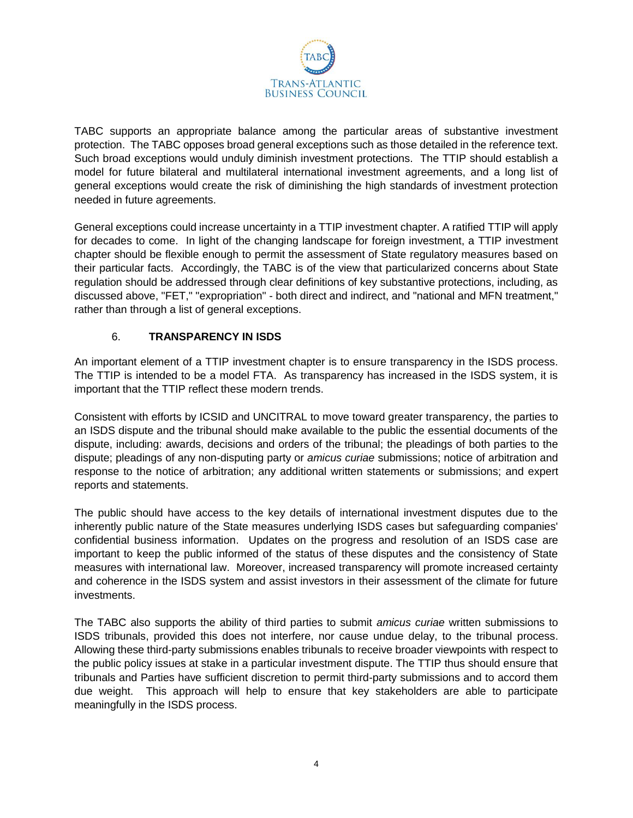

TABC supports an appropriate balance among the particular areas of substantive investment protection. The TABC opposes broad general exceptions such as those detailed in the reference text. Such broad exceptions would unduly diminish investment protections. The TTIP should establish a model for future bilateral and multilateral international investment agreements, and a long list of general exceptions would create the risk of diminishing the high standards of investment protection needed in future agreements.

General exceptions could increase uncertainty in a TTIP investment chapter. A ratified TTIP will apply for decades to come. In light of the changing landscape for foreign investment, a TTIP investment chapter should be flexible enough to permit the assessment of State regulatory measures based on their particular facts. Accordingly, the TABC is of the view that particularized concerns about State regulation should be addressed through clear definitions of key substantive protections, including, as discussed above, "FET," "expropriation" - both direct and indirect, and "national and MFN treatment," rather than through a list of general exceptions.

### 6. **TRANSPARENCY IN ISDS**

An important element of a TTIP investment chapter is to ensure transparency in the ISDS process. The TTIP is intended to be a model FTA. As transparency has increased in the ISDS system, it is important that the TTIP reflect these modern trends.

Consistent with efforts by ICSID and UNCITRAL to move toward greater transparency, the parties to an ISDS dispute and the tribunal should make available to the public the essential documents of the dispute, including: awards, decisions and orders of the tribunal; the pleadings of both parties to the dispute; pleadings of any non-disputing party or *amicus curiae* submissions; notice of arbitration and response to the notice of arbitration; any additional written statements or submissions; and expert reports and statements.

The public should have access to the key details of international investment disputes due to the inherently public nature of the State measures underlying ISDS cases but safeguarding companies' confidential business information. Updates on the progress and resolution of an ISDS case are important to keep the public informed of the status of these disputes and the consistency of State measures with international law. Moreover, increased transparency will promote increased certainty and coherence in the ISDS system and assist investors in their assessment of the climate for future investments.

The TABC also supports the ability of third parties to submit *amicus curiae* written submissions to ISDS tribunals, provided this does not interfere, nor cause undue delay, to the tribunal process. Allowing these third-party submissions enables tribunals to receive broader viewpoints with respect to the public policy issues at stake in a particular investment dispute. The TTIP thus should ensure that tribunals and Parties have sufficient discretion to permit third-party submissions and to accord them due weight. This approach will help to ensure that key stakeholders are able to participate meaningfully in the ISDS process.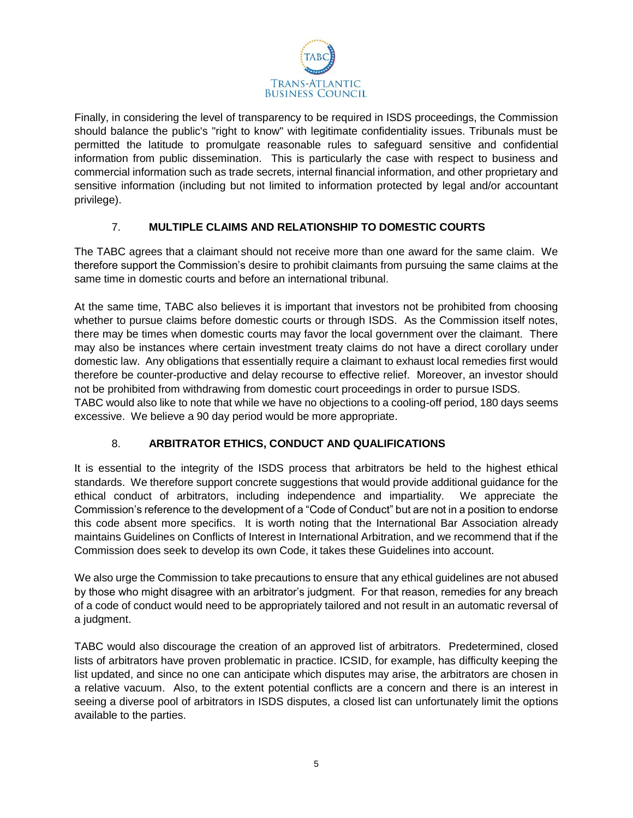

Finally, in considering the level of transparency to be required in ISDS proceedings, the Commission should balance the public's "right to know" with legitimate confidentiality issues. Tribunals must be permitted the latitude to promulgate reasonable rules to safeguard sensitive and confidential information from public dissemination. This is particularly the case with respect to business and commercial information such as trade secrets, internal financial information, and other proprietary and sensitive information (including but not limited to information protected by legal and/or accountant privilege).

### 7. **MULTIPLE CLAIMS AND RELATIONSHIP TO DOMESTIC COURTS**

The TABC agrees that a claimant should not receive more than one award for the same claim. We therefore support the Commission's desire to prohibit claimants from pursuing the same claims at the same time in domestic courts and before an international tribunal.

At the same time, TABC also believes it is important that investors not be prohibited from choosing whether to pursue claims before domestic courts or through ISDS. As the Commission itself notes, there may be times when domestic courts may favor the local government over the claimant. There may also be instances where certain investment treaty claims do not have a direct corollary under domestic law. Any obligations that essentially require a claimant to exhaust local remedies first would therefore be counter-productive and delay recourse to effective relief. Moreover, an investor should not be prohibited from withdrawing from domestic court proceedings in order to pursue ISDS.

TABC would also like to note that while we have no objections to a cooling-off period, 180 days seems excessive. We believe a 90 day period would be more appropriate.

### 8. **ARBITRATOR ETHICS, CONDUCT AND QUALIFICATIONS**

It is essential to the integrity of the ISDS process that arbitrators be held to the highest ethical standards. We therefore support concrete suggestions that would provide additional guidance for the ethical conduct of arbitrators, including independence and impartiality. We appreciate the Commission's reference to the development of a "Code of Conduct" but are not in a position to endorse this code absent more specifics. It is worth noting that the International Bar Association already maintains Guidelines on Conflicts of Interest in International Arbitration, and we recommend that if the Commission does seek to develop its own Code, it takes these Guidelines into account.

We also urge the Commission to take precautions to ensure that any ethical guidelines are not abused by those who might disagree with an arbitrator's judgment. For that reason, remedies for any breach of a code of conduct would need to be appropriately tailored and not result in an automatic reversal of a judgment.

TABC would also discourage the creation of an approved list of arbitrators. Predetermined, closed lists of arbitrators have proven problematic in practice. ICSID, for example, has difficulty keeping the list updated, and since no one can anticipate which disputes may arise, the arbitrators are chosen in a relative vacuum. Also, to the extent potential conflicts are a concern and there is an interest in seeing a diverse pool of arbitrators in ISDS disputes, a closed list can unfortunately limit the options available to the parties.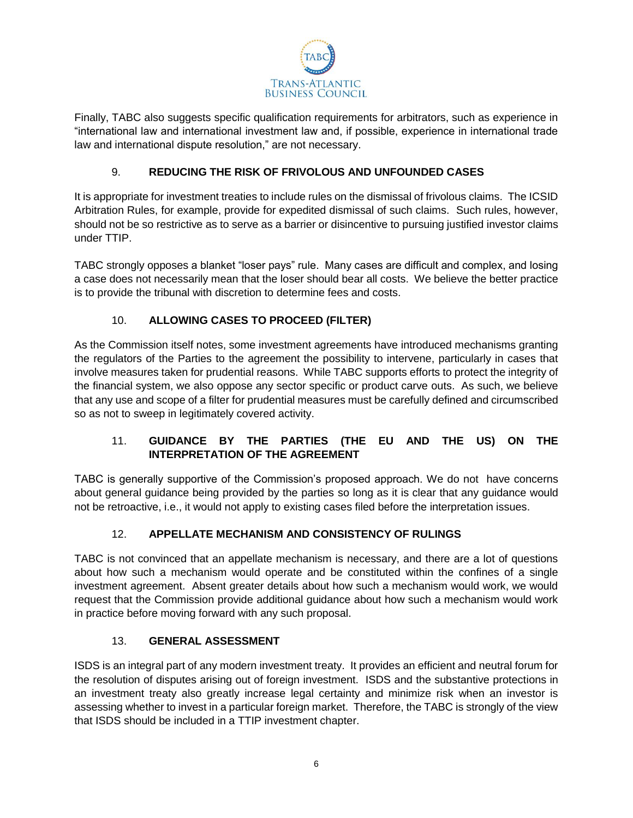

Finally, TABC also suggests specific qualification requirements for arbitrators, such as experience in "international law and international investment law and, if possible, experience in international trade law and international dispute resolution," are not necessary.

## 9. **REDUCING THE RISK OF FRIVOLOUS AND UNFOUNDED CASES**

It is appropriate for investment treaties to include rules on the dismissal of frivolous claims. The ICSID Arbitration Rules, for example, provide for expedited dismissal of such claims. Such rules, however, should not be so restrictive as to serve as a barrier or disincentive to pursuing justified investor claims under TTIP.

TABC strongly opposes a blanket "loser pays" rule. Many cases are difficult and complex, and losing a case does not necessarily mean that the loser should bear all costs. We believe the better practice is to provide the tribunal with discretion to determine fees and costs.

# 10. **ALLOWING CASES TO PROCEED (FILTER)**

As the Commission itself notes, some investment agreements have introduced mechanisms granting the regulators of the Parties to the agreement the possibility to intervene, particularly in cases that involve measures taken for prudential reasons. While TABC supports efforts to protect the integrity of the financial system, we also oppose any sector specific or product carve outs. As such, we believe that any use and scope of a filter for prudential measures must be carefully defined and circumscribed so as not to sweep in legitimately covered activity.

# 11. **GUIDANCE BY THE PARTIES (THE EU AND THE US) ON THE INTERPRETATION OF THE AGREEMENT**

TABC is generally supportive of the Commission's proposed approach. We do not have concerns about general guidance being provided by the parties so long as it is clear that any guidance would not be retroactive, i.e., it would not apply to existing cases filed before the interpretation issues.

# 12. **APPELLATE MECHANISM AND CONSISTENCY OF RULINGS**

TABC is not convinced that an appellate mechanism is necessary, and there are a lot of questions about how such a mechanism would operate and be constituted within the confines of a single investment agreement. Absent greater details about how such a mechanism would work, we would request that the Commission provide additional guidance about how such a mechanism would work in practice before moving forward with any such proposal.

### 13. **GENERAL ASSESSMENT**

ISDS is an integral part of any modern investment treaty. It provides an efficient and neutral forum for the resolution of disputes arising out of foreign investment. ISDS and the substantive protections in an investment treaty also greatly increase legal certainty and minimize risk when an investor is assessing whether to invest in a particular foreign market. Therefore, the TABC is strongly of the view that ISDS should be included in a TTIP investment chapter.